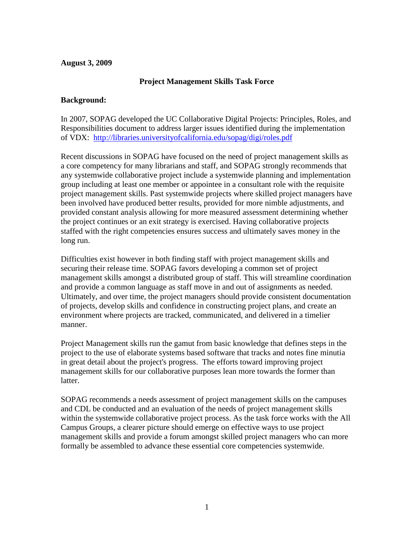#### **August 3, 2009**

### **Project Management Skills Task Force**

#### **Background:**

In 2007, SOPAG developed the UC Collaborative Digital Projects: Principles, Roles, and Responsibilities document to address larger issues identified during the implementation of VDX: <http://libraries.universityofcalifornia.edu/sopag/digi/roles.pdf>

Recent discussions in SOPAG have focused on the need of project management skills as a core competency for many librarians and staff, and SOPAG strongly recommends that any systemwide collaborative project include a systemwide planning and implementation group including at least one member or appointee in a consultant role with the requisite project management skills. Past systemwide projects where skilled project managers have been involved have produced better results, provided for more nimble adjustments, and provided constant analysis allowing for more measured assessment determining whether the project continues or an exit strategy is exercised. Having collaborative projects staffed with the right competencies ensures success and ultimately saves money in the long run.

Difficulties exist however in both finding staff with project management skills and securing their release time. SOPAG favors developing a common set of project management skills amongst a distributed group of staff. This will streamline coordination and provide a common language as staff move in and out of assignments as needed. Ultimately, and over time, the project managers should provide consistent documentation of projects, develop skills and confidence in constructing project plans, and create an environment where projects are tracked, communicated, and delivered in a timelier manner.

Project Management skills run the gamut from basic knowledge that defines steps in the project to the use of elaborate systems based software that tracks and notes fine minutia in great detail about the project's progress. The efforts toward improving project management skills for our collaborative purposes lean more towards the former than latter.

SOPAG recommends a needs assessment of project management skills on the campuses and CDL be conducted and an evaluation of the needs of project management skills within the systemwide collaborative project process. As the task force works with the All Campus Groups, a clearer picture should emerge on effective ways to use project management skills and provide a forum amongst skilled project managers who can more formally be assembled to advance these essential core competencies systemwide.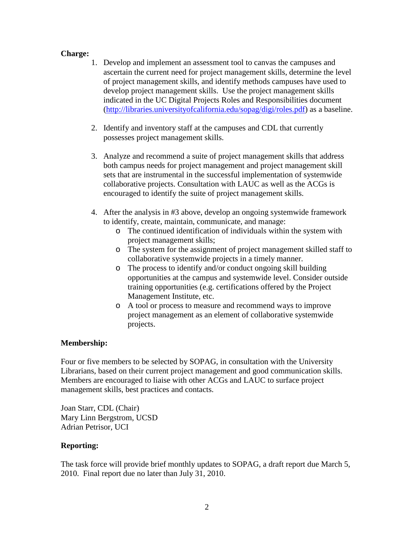# **Charge:**

- 1. Develop and implement an assessment tool to canvas the campuses and ascertain the current need for project management skills, determine the level of project management skills, and identify methods campuses have used to develop project management skills. Use the project management skills indicated in the UC Digital Projects Roles and Responsibilities document [\(http://libraries.universityofcalifornia.edu/sopag/digi/roles.pdf\)](http://libraries.universityofcalifornia.edu/sopag/digi/roles.pdf) as a baseline.
- 2. Identify and inventory staff at the campuses and CDL that currently possesses project management skills.
- 3. Analyze and recommend a suite of project management skills that address both campus needs for project management and project management skill sets that are instrumental in the successful implementation of systemwide collaborative projects. Consultation with LAUC as well as the ACGs is encouraged to identify the suite of project management skills.
- 4. After the analysis in #3 above, develop an ongoing systemwide framework to identify, create, maintain, communicate, and manage:
	- o The continued identification of individuals within the system with project management skills;
	- o The system for the assignment of project management skilled staff to collaborative systemwide projects in a timely manner.
	- o The process to identify and/or conduct ongoing skill building opportunities at the campus and systemwide level. Consider outside training opportunities (e.g. certifications offered by the Project Management Institute, etc.
	- o A tool or process to measure and recommend ways to improve project management as an element of collaborative systemwide projects.

# **Membership:**

Four or five members to be selected by SOPAG, in consultation with the University Librarians, based on their current project management and good communication skills. Members are encouraged to liaise with other ACGs and LAUC to surface project management skills, best practices and contacts.

Joan Starr, CDL (Chair) Mary Linn Bergstrom, UCSD Adrian Petrisor, UCI

# **Reporting:**

The task force will provide brief monthly updates to SOPAG, a draft report due March 5, 2010. Final report due no later than July 31, 2010.